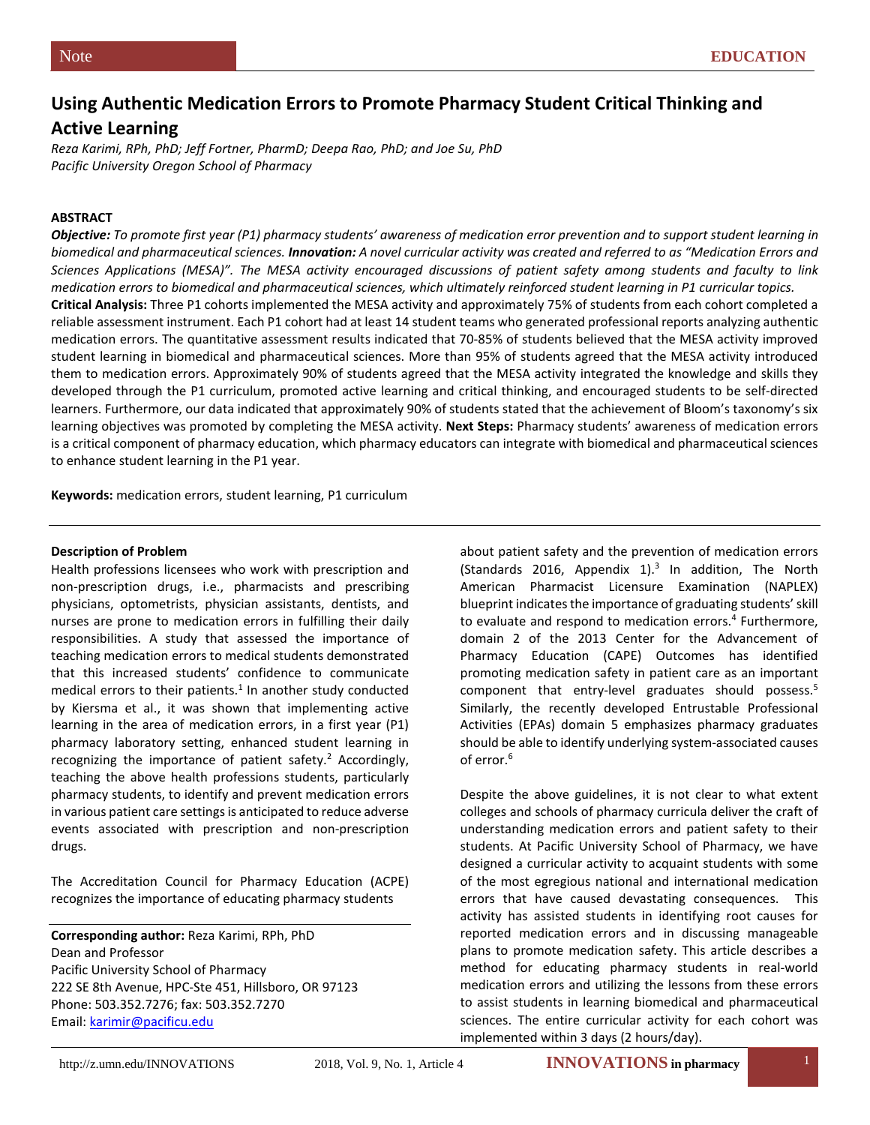# **Using Authentic Medication Errors to Promote Pharmacy Student Critical Thinking and Active Learning**

*Reza Karimi, RPh, PhD; Jeff Fortner, PharmD; Deepa Rao, PhD; and Joe Su, PhD Pacific University Oregon School of Pharmacy*

### **ABSTRACT**

*Objective: To promote first year (P1) pharmacy students' awareness of medication error prevention and to support student learning in biomedical and pharmaceutical sciences. Innovation: A novel curricular activity was created and referred to as "Medication Errors and Sciences Applications (MESA)". The MESA activity encouraged discussions of patient safety among students and faculty to link medication errors to biomedical and pharmaceutical sciences, which ultimately reinforced student learning in P1 curricular topics.*  **Critical Analysis:** Three P1 cohorts implemented the MESA activity and approximately 75% of students from each cohort completed a reliable assessment instrument. Each P1 cohort had at least 14 student teams who generated professional reports analyzing authentic medication errors. The quantitative assessment results indicated that 70-85% of students believed that the MESA activity improved student learning in biomedical and pharmaceutical sciences. More than 95% of students agreed that the MESA activity introduced them to medication errors. Approximately 90% of students agreed that the MESA activity integrated the knowledge and skills they developed through the P1 curriculum, promoted active learning and critical thinking, and encouraged students to be self-directed learners. Furthermore, our data indicated that approximately 90% of students stated that the achievement of Bloom's taxonomy's six learning objectives was promoted by completing the MESA activity. **Next Steps:** Pharmacy students' awareness of medication errors is a critical component of pharmacy education, which pharmacy educators can integrate with biomedical and pharmaceutical sciences to enhance student learning in the P1 year.

**Keywords:** medication errors, student learning, P1 curriculum

#### **Description of Problem**

Health professions licensees who work with prescription and non-prescription drugs, i.e., pharmacists and prescribing physicians, optometrists, physician assistants, dentists, and nurses are prone to medication errors in fulfilling their daily responsibilities. A study that assessed the importance of teaching medication errors to medical students demonstrated that this increased students' confidence to communicate medical errors to their patients. $1$  In another study conducted by Kiersma et al., it was shown that implementing active learning in the area of medication errors, in a first year (P1) pharmacy laboratory setting, enhanced student learning in recognizing the importance of patient safety.<sup>2</sup> Accordingly, teaching the above health professions students, particularly pharmacy students, to identify and prevent medication errors in various patient care settings is anticipated to reduce adverse events associated with prescription and non-prescription drugs.

The Accreditation Council for Pharmacy Education (ACPE) recognizes the importance of educating pharmacy students

**Corresponding author:** Reza Karimi, RPh, PhD Dean and Professor Pacific University School of Pharmacy 222 SE 8th Avenue, HPC-Ste 451, Hillsboro, OR 97123 Phone: 503.352.7276; fax: 503.352.7270 Email: [karimir@pacificu.edu](mailto:karimir@pacificu.edu)

about patient safety and the prevention of medication errors (Standards 2016, Appendix 1). $3$  In addition, The North American Pharmacist Licensure Examination (NAPLEX) blueprint indicates the importance of graduating students' skill to evaluate and respond to medication errors.<sup>4</sup> Furthermore, domain 2 of the 2013 Center for the Advancement of Pharmacy Education (CAPE) Outcomes has identified promoting medication safety in patient care as an important component that entry-level graduates should possess.5 Similarly, the recently developed Entrustable Professional Activities (EPAs) domain 5 emphasizes pharmacy graduates should be able to identify underlying system-associated causes of error.<sup>6</sup>

Despite the above guidelines, it is not clear to what extent colleges and schools of pharmacy curricula deliver the craft of understanding medication errors and patient safety to their students. At Pacific University School of Pharmacy, we have designed a curricular activity to acquaint students with some of the most egregious national and international medication errors that have caused devastating consequences. This activity has assisted students in identifying root causes for reported medication errors and in discussing manageable plans to promote medication safety. This article describes a method for educating pharmacy students in real-world medication errors and utilizing the lessons from these errors to assist students in learning biomedical and pharmaceutical sciences. The entire curricular activity for each cohort was implemented within 3 days (2 hours/day).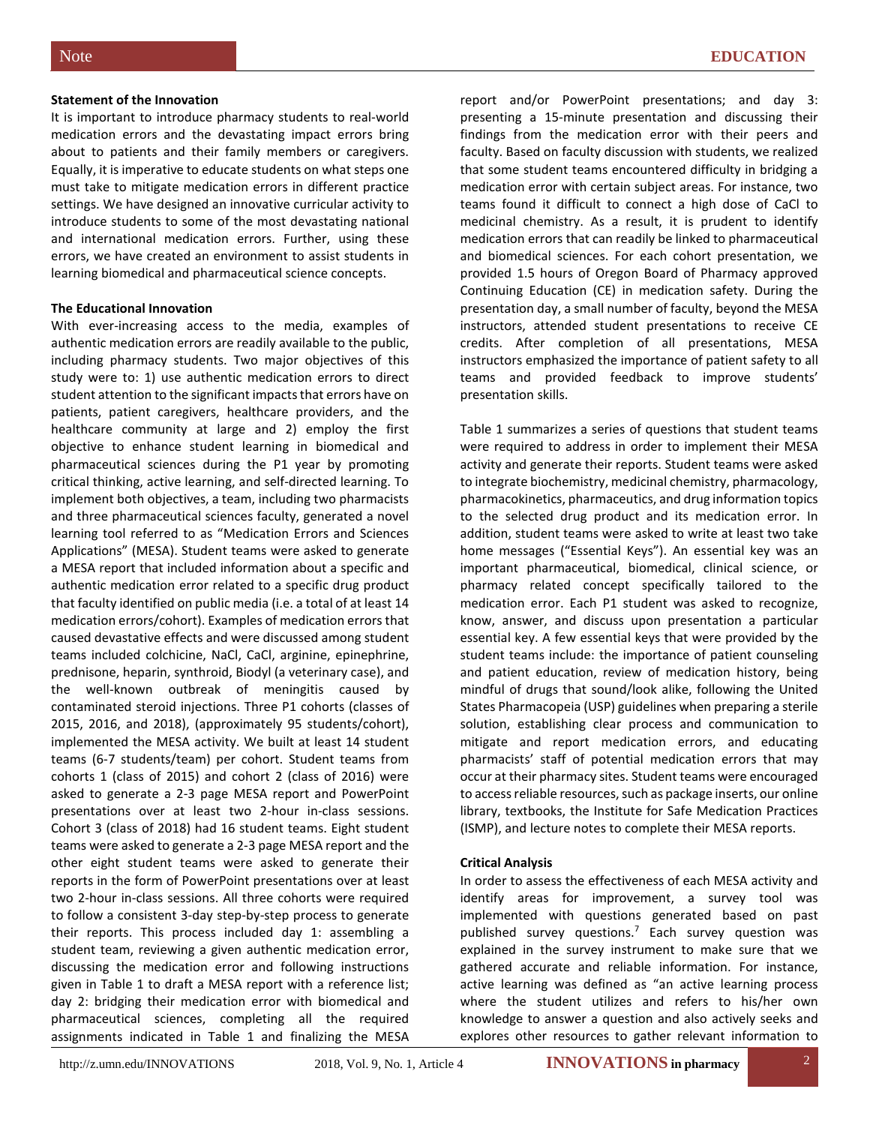#### **Statement of the Innovation**

It is important to introduce pharmacy students to real-world medication errors and the devastating impact errors bring about to patients and their family members or caregivers. Equally, it is imperative to educate students on what steps one must take to mitigate medication errors in different practice settings. We have designed an innovative curricular activity to introduce students to some of the most devastating national and international medication errors. Further, using these errors, we have created an environment to assist students in learning biomedical and pharmaceutical science concepts.

#### **The Educational Innovation**

With ever-increasing access to the media, examples of authentic medication errors are readily available to the public, including pharmacy students. Two major objectives of this study were to: 1) use authentic medication errors to direct student attention to the significant impacts that errors have on patients, patient caregivers, healthcare providers, and the healthcare community at large and 2) employ the first objective to enhance student learning in biomedical and pharmaceutical sciences during the P1 year by promoting critical thinking, active learning, and self-directed learning. To implement both objectives, a team, including two pharmacists and three pharmaceutical sciences faculty, generated a novel learning tool referred to as "Medication Errors and Sciences Applications" (MESA). Student teams were asked to generate a MESA report that included information about a specific and authentic medication error related to a specific drug product that faculty identified on public media (i.e. a total of at least 14 medication errors/cohort). Examples of medication errors that caused devastative effects and were discussed among student teams included colchicine, NaCl, CaCl, arginine, epinephrine, prednisone, heparin, synthroid, Biodyl (a veterinary case), and the well-known outbreak of meningitis caused by contaminated steroid injections. Three P1 cohorts (classes of 2015, 2016, and 2018), (approximately 95 students/cohort), implemented the MESA activity. We built at least 14 student teams (6-7 students/team) per cohort. Student teams from cohorts 1 (class of 2015) and cohort 2 (class of 2016) were asked to generate a 2-3 page MESA report and PowerPoint presentations over at least two 2-hour in-class sessions. Cohort 3 (class of 2018) had 16 student teams. Eight student teams were asked to generate a 2-3 page MESA report and the other eight student teams were asked to generate their reports in the form of PowerPoint presentations over at least two 2-hour in-class sessions. All three cohorts were required to follow a consistent 3-day step-by-step process to generate their reports. This process included day 1: assembling a student team, reviewing a given authentic medication error, discussing the medication error and following instructions given in Table 1 to draft a MESA report with a reference list; day 2: bridging their medication error with biomedical and pharmaceutical sciences, completing all the required assignments indicated in Table 1 and finalizing the MESA

report and/or PowerPoint presentations; and day 3: presenting a 15-minute presentation and discussing their findings from the medication error with their peers and faculty. Based on faculty discussion with students, we realized that some student teams encountered difficulty in bridging a medication error with certain subject areas. For instance, two teams found it difficult to connect a high dose of CaCl to medicinal chemistry. As a result, it is prudent to identify medication errors that can readily be linked to pharmaceutical and biomedical sciences. For each cohort presentation, we provided 1.5 hours of Oregon Board of Pharmacy approved Continuing Education (CE) in medication safety. During the presentation day, a small number of faculty, beyond the MESA instructors, attended student presentations to receive CE credits. After completion of all presentations, MESA instructors emphasized the importance of patient safety to all teams and provided feedback to improve students' presentation skills.

Table 1 summarizes a series of questions that student teams were required to address in order to implement their MESA activity and generate their reports. Student teams were asked to integrate biochemistry, medicinal chemistry, pharmacology, pharmacokinetics, pharmaceutics, and drug information topics to the selected drug product and its medication error. In addition, student teams were asked to write at least two take home messages ("Essential Keys"). An essential key was an important pharmaceutical, biomedical, clinical science, or pharmacy related concept specifically tailored to the medication error. Each P1 student was asked to recognize, know, answer, and discuss upon presentation a particular essential key. A few essential keys that were provided by the student teams include: the importance of patient counseling and patient education, review of medication history, being mindful of drugs that sound/look alike, following the United States Pharmacopeia (USP) guidelines when preparing a sterile solution, establishing clear process and communication to mitigate and report medication errors, and educating pharmacists' staff of potential medication errors that may occur at their pharmacy sites. Student teams were encouraged to access reliable resources, such as package inserts, our online library, textbooks, the Institute for Safe Medication Practices (ISMP), and lecture notes to complete their MESA reports.

### **Critical Analysis**

In order to assess the effectiveness of each MESA activity and identify areas for improvement, a survey tool was implemented with questions generated based on past published survey questions.7 Each survey question was explained in the survey instrument to make sure that we gathered accurate and reliable information. For instance, active learning was defined as "an active learning process where the student utilizes and refers to his/her own knowledge to answer a question and also actively seeks and explores other resources to gather relevant information to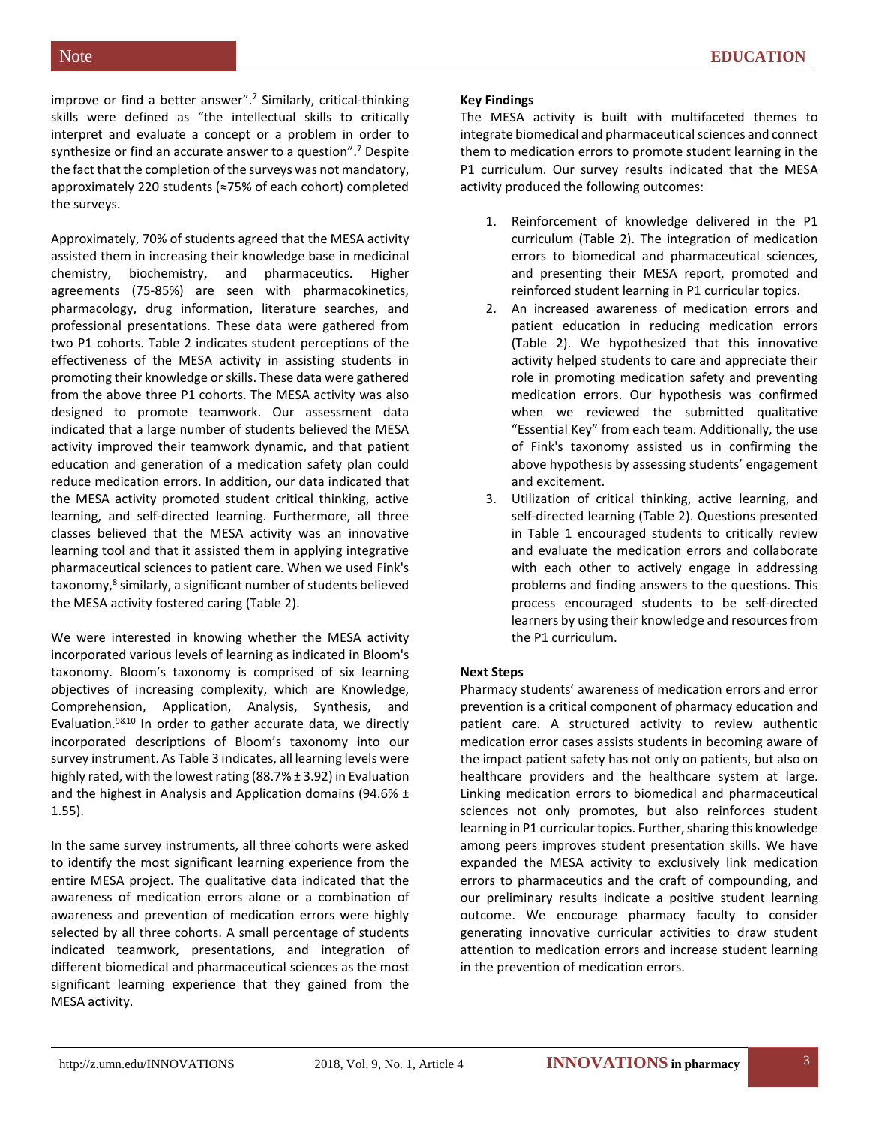improve or find a better answer".<sup>7</sup> Similarly, critical-thinking skills were defined as "the intellectual skills to critically interpret and evaluate a concept or a problem in order to synthesize or find an accurate answer to a question".<sup>7</sup> Despite the fact that the completion of the surveys was not mandatory, approximately 220 students (≈75% of each cohort) completed the surveys.

Approximately, 70% of students agreed that the MESA activity assisted them in increasing their knowledge base in medicinal chemistry, biochemistry, and pharmaceutics. Higher agreements (75-85%) are seen with pharmacokinetics, pharmacology, drug information, literature searches, and professional presentations. These data were gathered from two P1 cohorts. Table 2 indicates student perceptions of the effectiveness of the MESA activity in assisting students in promoting their knowledge or skills. These data were gathered from the above three P1 cohorts. The MESA activity was also designed to promote teamwork. Our assessment data indicated that a large number of students believed the MESA activity improved their teamwork dynamic, and that patient education and generation of a medication safety plan could reduce medication errors. In addition, our data indicated that the MESA activity promoted student critical thinking, active learning, and self-directed learning. Furthermore, all three classes believed that the MESA activity was an innovative learning tool and that it assisted them in applying integrative pharmaceutical sciences to patient care. When we used Fink's taxonomy,<sup>8</sup> similarly, a significant number of students believed the MESA activity fostered caring (Table 2).

We were interested in knowing whether the MESA activity incorporated various levels of learning as indicated in Bloom's taxonomy. Bloom's taxonomy is comprised of six learning objectives of increasing complexity, which are Knowledge, Comprehension, Application, Analysis, Synthesis, and Evaluation.9&10 In order to gather accurate data, we directly incorporated descriptions of Bloom's taxonomy into our survey instrument. As Table 3 indicates, all learning levels were highly rated, with the lowest rating (88.7% ± 3.92) in Evaluation and the highest in Analysis and Application domains (94.6% ± 1.55).

In the same survey instruments, all three cohorts were asked to identify the most significant learning experience from the entire MESA project. The qualitative data indicated that the awareness of medication errors alone or a combination of awareness and prevention of medication errors were highly selected by all three cohorts. A small percentage of students indicated teamwork, presentations, and integration of different biomedical and pharmaceutical sciences as the most significant learning experience that they gained from the MESA activity.

### **Key Findings**

The MESA activity is built with multifaceted themes to integrate biomedical and pharmaceutical sciences and connect them to medication errors to promote student learning in the P1 curriculum. Our survey results indicated that the MESA activity produced the following outcomes:

- 1. Reinforcement of knowledge delivered in the P1 curriculum (Table 2). The integration of medication errors to biomedical and pharmaceutical sciences, and presenting their MESA report, promoted and reinforced student learning in P1 curricular topics.
- 2. An increased awareness of medication errors and patient education in reducing medication errors (Table 2). We hypothesized that this innovative activity helped students to care and appreciate their role in promoting medication safety and preventing medication errors. Our hypothesis was confirmed when we reviewed the submitted qualitative "Essential Key" from each team. Additionally, the use of Fink's taxonomy assisted us in confirming the above hypothesis by assessing students' engagement and excitement.
- 3. Utilization of critical thinking, active learning, and self-directed learning (Table 2). Questions presented in Table 1 encouraged students to critically review and evaluate the medication errors and collaborate with each other to actively engage in addressing problems and finding answers to the questions. This process encouraged students to be self-directed learners by using their knowledge and resources from the P1 curriculum.

### **Next Steps**

Pharmacy students' awareness of medication errors and error prevention is a critical component of pharmacy education and patient care. A structured activity to review authentic medication error cases assists students in becoming aware of the impact patient safety has not only on patients, but also on healthcare providers and the healthcare system at large. Linking medication errors to biomedical and pharmaceutical sciences not only promotes, but also reinforces student learning in P1 curricular topics. Further, sharing this knowledge among peers improves student presentation skills. We have expanded the MESA activity to exclusively link medication errors to pharmaceutics and the craft of compounding, and our preliminary results indicate a positive student learning outcome. We encourage pharmacy faculty to consider generating innovative curricular activities to draw student attention to medication errors and increase student learning in the prevention of medication errors.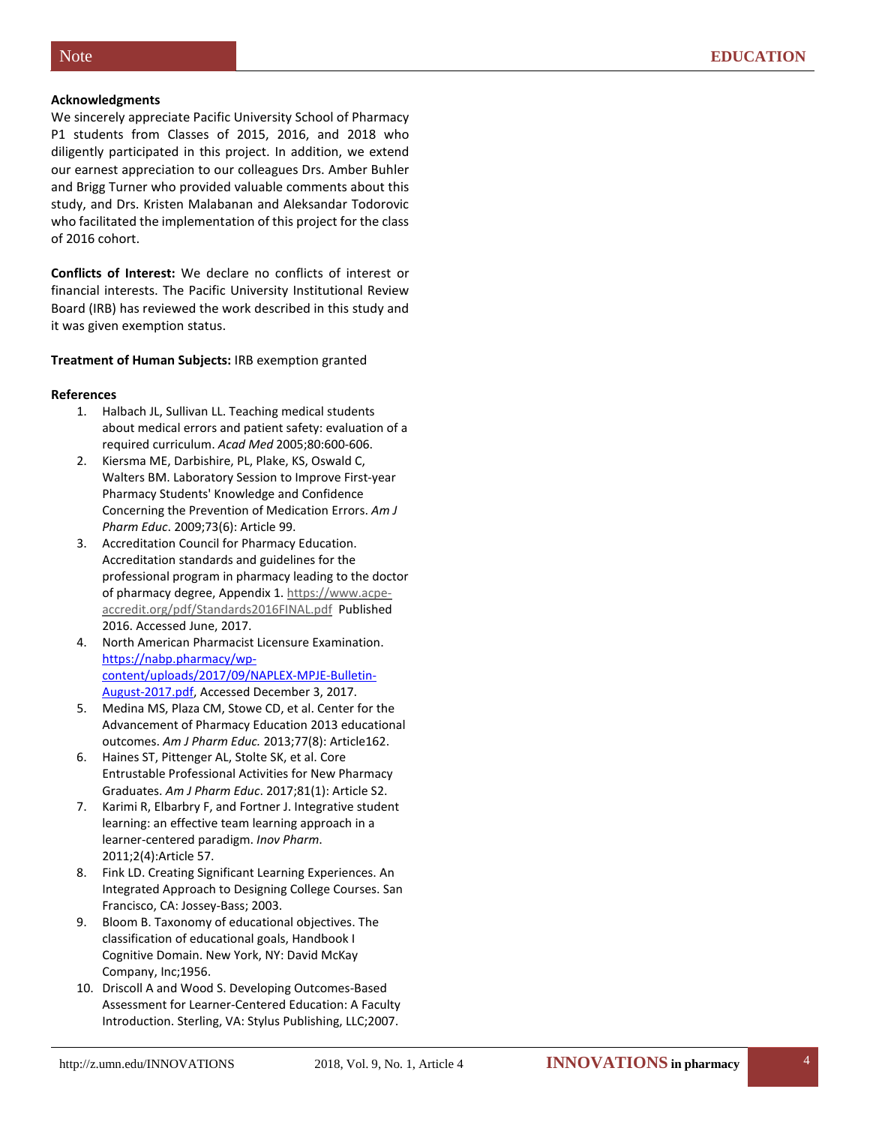#### **Acknowledgments**

We sincerely appreciate Pacific University School of Pharmacy P1 students from Classes of 2015, 2016, and 2018 who diligently participated in this project. In addition, we extend our earnest appreciation to our colleagues Drs. Amber Buhler and Brigg Turner who provided valuable comments about this study, and Drs. Kristen Malabanan and Aleksandar Todorovic who facilitated the implementation of this project for the class of 2016 cohort.

**Conflicts of Interest:** We declare no conflicts of interest or financial interests. The Pacific University Institutional Review Board (IRB) has reviewed the work described in this study and it was given exemption status.

**Treatment of Human Subjects:** IRB exemption granted

#### **References**

- 1. Halbach JL, Sullivan LL. Teaching medical students about medical errors and patient safety: evaluation of a required curriculum. *Acad Med* 2005;80:600-606.
- 2. Kiersma ME, Darbishire, PL, Plake, KS, Oswald C, Walters BM. Laboratory Session to Improve First-year Pharmacy Students' Knowledge and Confidence Concerning the Prevention of Medication Errors. *Am J Pharm Educ*. 2009;73(6): Article 99.
- 3. Accreditation Council for Pharmacy Education. Accreditation standards and guidelines for the professional program in pharmacy leading to the doctor of pharmacy degree, Appendix 1. [https://www.acpe](https://www.acpe-accredit.org/pdf/Standards2016FINAL.pdf)[accredit.org/pdf/Standards2016FINAL.pdf](https://www.acpe-accredit.org/pdf/Standards2016FINAL.pdf) Published 2016. Accessed June, 2017.
- 4. North American Pharmacist Licensure Examination. [https://nabp.pharmacy/wp](https://nabp.pharmacy/wp-content/uploads/2017/09/NAPLEX-MPJE-Bulletin-August-2017.pdf)[content/uploads/2017/09/NAPLEX-MPJE-Bulletin-](https://nabp.pharmacy/wp-content/uploads/2017/09/NAPLEX-MPJE-Bulletin-August-2017.pdf)[August-2017.pdf,](https://nabp.pharmacy/wp-content/uploads/2017/09/NAPLEX-MPJE-Bulletin-August-2017.pdf) Accessed December 3, 2017.
- 5. Medina MS, Plaza CM, Stowe CD, et al. Center for the Advancement of Pharmacy Education 2013 educational outcomes. *Am J Pharm Educ.* 2013;77(8): Article162.
- 6. Haines ST, Pittenger AL, Stolte SK, et al. Core Entrustable Professional Activities for New Pharmacy Graduates. *Am J Pharm Educ*. 2017;81(1): Article S2.
- 7. Karimi R, Elbarbry F, and Fortner J. Integrative student learning: an effective team learning approach in a learner-centered paradigm. *Inov Pharm*. 2011;2(4):Article 57.
- 8. Fink LD. Creating Significant Learning Experiences. An Integrated Approach to Designing College Courses. San Francisco, CA: Jossey-Bass; 2003.
- 9. Bloom B. Taxonomy of educational objectives. The classification of educational goals, Handbook I Cognitive Domain. New York, NY: David McKay Company, Inc;1956.
- 10. Driscoll A and Wood S. Developing Outcomes-Based Assessment for Learner-Centered Education: A Faculty Introduction. Sterling, VA: Stylus Publishing, LLC;2007.